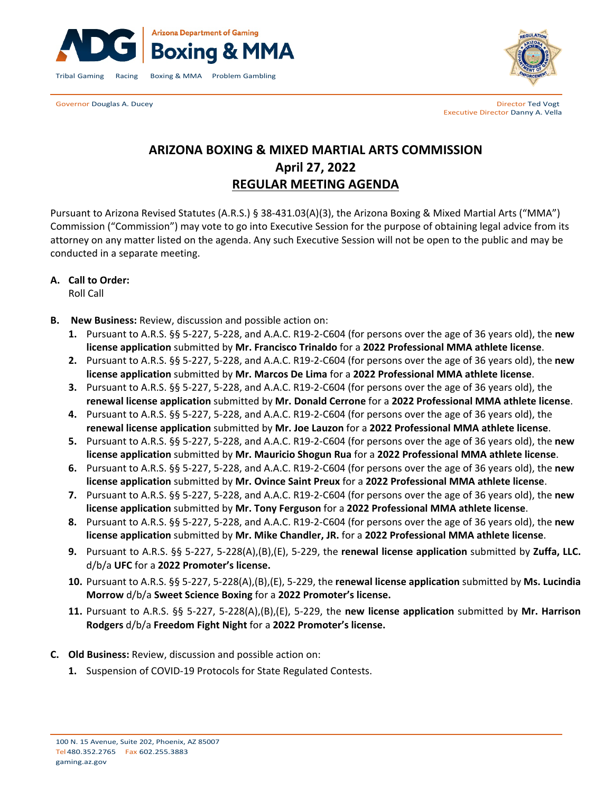



Governor Douglas A. Ducey **Director Ted Vogt Contract Contract Contract Contract Contract Contract Contract Contract Contract Contract Contract Contract Contract Contract Contract Contract Contract Contract Contract Cont** Executive Director Danny A. Vella

# **ARIZONA BOXING & MIXED MARTIAL ARTS COMMISSION April 27, 2022 REGULAR MEETING AGENDA**

Pursuant to Arizona Revised Statutes (A.R.S.) § 38-431.03(A)(3), the Arizona Boxing & Mixed Martial Arts ("MMA") Commission ("Commission") may vote to go into Executive Session for the purpose of obtaining legal advice from its attorney on any matter listed on the agenda. Any such Executive Session will not be open to the public and may be conducted in a separate meeting.

## **A. Call to Order:**

Roll Call

- **B. New Business:** Review, discussion and possible action on:
	- **1.** Pursuant to A.R.S. §§ 5-227, 5-228, and A.A.C. R19-2-C604 (for persons over the age of 36 years old), the **new license application** submitted by **Mr. Francisco Trinaldo** for a **2022 Professional MMA athlete license**.
	- **2.** Pursuant to A.R.S. §§ 5-227, 5-228, and A.A.C. R19-2-C604 (for persons over the age of 36 years old), the **new license application** submitted by **Mr. Marcos De Lima** for a **2022 Professional MMA athlete license**.
	- **3.** Pursuant to A.R.S. §§ 5-227, 5-228, and A.A.C. R19-2-C604 (for persons over the age of 36 years old), the **renewal license application** submitted by **Mr. Donald Cerrone** for a **2022 Professional MMA athlete license**.
	- **4.** Pursuant to A.R.S. §§ 5-227, 5-228, and A.A.C. R19-2-C604 (for persons over the age of 36 years old), the **renewal license application** submitted by **Mr. Joe Lauzon** for a **2022 Professional MMA athlete license**.
	- **5.** Pursuant to A.R.S. §§ 5-227, 5-228, and A.A.C. R19-2-C604 (for persons over the age of 36 years old), the **new license application** submitted by **Mr. Mauricio Shogun Rua** for a **2022 Professional MMA athlete license**.
	- **6.** Pursuant to A.R.S. §§ 5-227, 5-228, and A.A.C. R19-2-C604 (for persons over the age of 36 years old), the **new license application** submitted by **Mr. Ovince Saint Preux** for a **2022 Professional MMA athlete license**.
	- **7.** Pursuant to A.R.S. §§ 5-227, 5-228, and A.A.C. R19-2-C604 (for persons over the age of 36 years old), the **new license application** submitted by **Mr. Tony Ferguson** for a **2022 Professional MMA athlete license**.
	- **8.** Pursuant to A.R.S. §§ 5-227, 5-228, and A.A.C. R19-2-C604 (for persons over the age of 36 years old), the **new license application** submitted by **Mr. Mike Chandler, JR.** for a **2022 Professional MMA athlete license**.
	- **9.** Pursuant to A.R.S. §§ 5-227, 5-228(A),(B),(E), 5-229, the **renewal license application** submitted by **Zuffa, LLC.**  d/b/a **UFC** for a **2022 Promoter's license.**
	- **10.** Pursuant to A.R.S. §§ 5-227, 5-228(A),(B),(E), 5-229, the **renewal license application** submitted by **Ms. Lucindia Morrow** d/b/a **Sweet Science Boxing** for a **2022 Promoter's license.**
	- **11.** Pursuant to A.R.S. §§ 5-227, 5-228(A),(B),(E), 5-229, the **new license application** submitted by **Mr. Harrison Rodgers** d/b/a **Freedom Fight Night** for a **2022 Promoter's license.**
- **C. Old Business:** Review, discussion and possible action on:
	- **1.** Suspension of COVID-19 Protocols for State Regulated Contests.